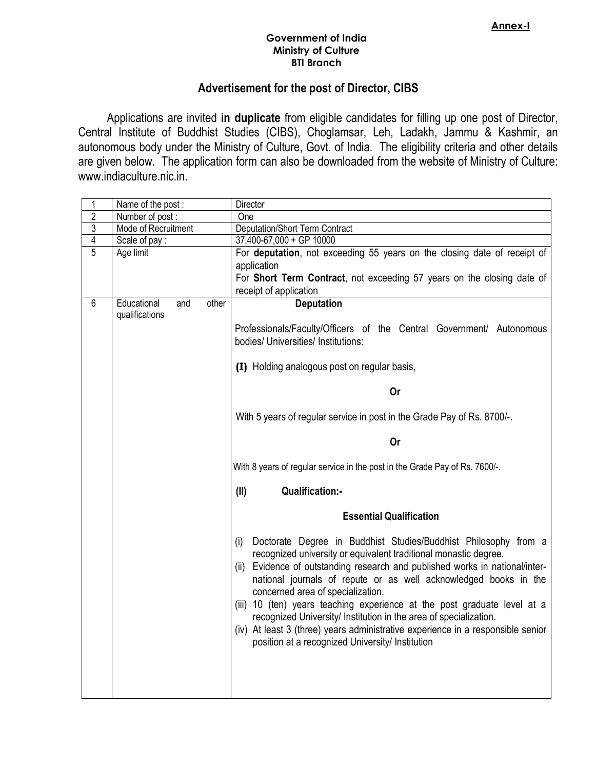## Government of India Ministry of Culture BTI Branch

## Advertisement for the post of Director, CIBS

Applications are invited in duplicate from eligible candidates for filling up one post of Director, Central Institute of Buddhist Studies (CIBS), Choglamsar, Leh, Ladakh, Jammu & Kashmir, an autonomous body under the Ministry of Culture, Govt. of India. The eligibility criteria and other details are given below. The application form can also be downloaded from the website of Ministry of Culture: www.indiaculture.nic.in.

| 1              | Name of the post:                    |       | Director                                                                                                                                                                                                                                                                                                                                                                                                                                                                                                                                                                                                                    |
|----------------|--------------------------------------|-------|-----------------------------------------------------------------------------------------------------------------------------------------------------------------------------------------------------------------------------------------------------------------------------------------------------------------------------------------------------------------------------------------------------------------------------------------------------------------------------------------------------------------------------------------------------------------------------------------------------------------------------|
| $\overline{2}$ | Number of post:                      |       | One                                                                                                                                                                                                                                                                                                                                                                                                                                                                                                                                                                                                                         |
| $\overline{3}$ | Mode of Recruitment                  |       | <b>Deputation/Short Term Contract</b>                                                                                                                                                                                                                                                                                                                                                                                                                                                                                                                                                                                       |
| $\overline{4}$ | Scale of pay:                        |       | 37,400-67,000 + GP 10000                                                                                                                                                                                                                                                                                                                                                                                                                                                                                                                                                                                                    |
| $\overline{5}$ | Age limit                            |       | For deputation, not exceeding 55 years on the closing date of receipt of                                                                                                                                                                                                                                                                                                                                                                                                                                                                                                                                                    |
|                |                                      |       | application                                                                                                                                                                                                                                                                                                                                                                                                                                                                                                                                                                                                                 |
|                |                                      |       | For Short Term Contract, not exceeding 57 years on the closing date of                                                                                                                                                                                                                                                                                                                                                                                                                                                                                                                                                      |
|                |                                      |       | receipt of application                                                                                                                                                                                                                                                                                                                                                                                                                                                                                                                                                                                                      |
| 6              | Educational<br>and<br>qualifications | other | <b>Deputation</b>                                                                                                                                                                                                                                                                                                                                                                                                                                                                                                                                                                                                           |
|                |                                      |       | Professionals/Faculty/Officers of the Central Government/ Autonomous<br>bodies/ Universities/ Institutions:                                                                                                                                                                                                                                                                                                                                                                                                                                                                                                                 |
|                |                                      |       | (I) Holding analogous post on regular basis,                                                                                                                                                                                                                                                                                                                                                                                                                                                                                                                                                                                |
|                |                                      |       | <b>Or</b>                                                                                                                                                                                                                                                                                                                                                                                                                                                                                                                                                                                                                   |
|                |                                      |       | With 5 years of regular service in post in the Grade Pay of Rs. 8700/-.                                                                                                                                                                                                                                                                                                                                                                                                                                                                                                                                                     |
|                |                                      |       | Or                                                                                                                                                                                                                                                                                                                                                                                                                                                                                                                                                                                                                          |
|                |                                      |       | With 8 years of regular service in the post in the Grade Pay of Rs. 7600/-.                                                                                                                                                                                                                                                                                                                                                                                                                                                                                                                                                 |
|                |                                      |       | (II)<br><b>Qualification:-</b>                                                                                                                                                                                                                                                                                                                                                                                                                                                                                                                                                                                              |
|                |                                      |       | <b>Essential Qualification</b>                                                                                                                                                                                                                                                                                                                                                                                                                                                                                                                                                                                              |
|                |                                      |       | Doctorate Degree in Buddhist Studies/Buddhist Philosophy from a<br>(i)<br>recognized university or equivalent traditional monastic degree.<br>(ii) Evidence of outstanding research and published works in national/inter-<br>national journals of repute or as well acknowledged books in the<br>concerned area of specialization.<br>(iii) 10 (ten) years teaching experience at the post graduate level at a<br>recognized University/ Institution in the area of specialization.<br>(iv) At least 3 (three) years administrative experience in a responsible senior<br>position at a recognized University/ Institution |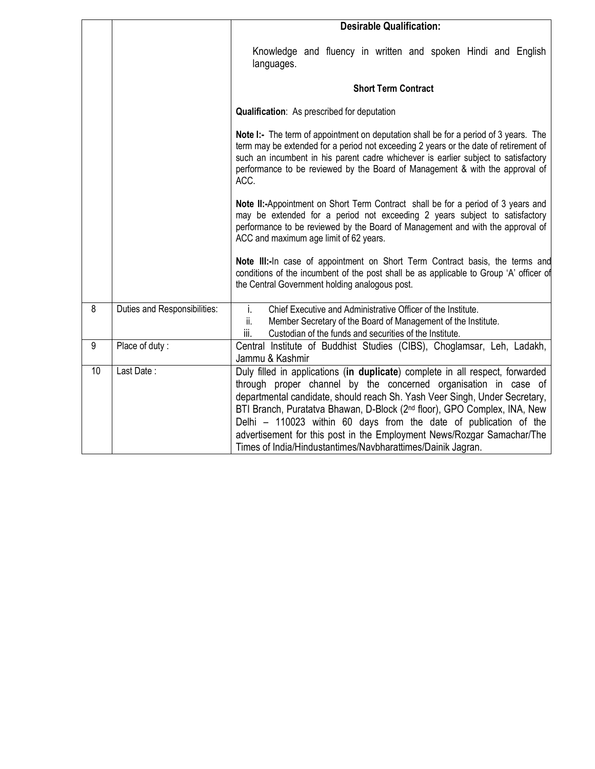|    |                              | <b>Desirable Qualification:</b>                                                                                                                                                                                                                                                                                                                                                                                                                                                                                                      |  |  |  |  |  |  |
|----|------------------------------|--------------------------------------------------------------------------------------------------------------------------------------------------------------------------------------------------------------------------------------------------------------------------------------------------------------------------------------------------------------------------------------------------------------------------------------------------------------------------------------------------------------------------------------|--|--|--|--|--|--|
|    |                              | Knowledge and fluency in written and spoken Hindi and English<br>languages.                                                                                                                                                                                                                                                                                                                                                                                                                                                          |  |  |  |  |  |  |
|    |                              | <b>Short Term Contract</b>                                                                                                                                                                                                                                                                                                                                                                                                                                                                                                           |  |  |  |  |  |  |
|    |                              | <b>Qualification:</b> As prescribed for deputation                                                                                                                                                                                                                                                                                                                                                                                                                                                                                   |  |  |  |  |  |  |
|    |                              | Note I:- The term of appointment on deputation shall be for a period of 3 years. The<br>term may be extended for a period not exceeding 2 years or the date of retirement of<br>such an incumbent in his parent cadre whichever is earlier subject to satisfactory<br>performance to be reviewed by the Board of Management & with the approval of<br>ACC.                                                                                                                                                                           |  |  |  |  |  |  |
|    |                              | Note II:-Appointment on Short Term Contract shall be for a period of 3 years and<br>may be extended for a period not exceeding 2 years subject to satisfactory<br>performance to be reviewed by the Board of Management and with the approval of<br>ACC and maximum age limit of 62 years.                                                                                                                                                                                                                                           |  |  |  |  |  |  |
|    |                              | Note III:-In case of appointment on Short Term Contract basis, the terms and<br>conditions of the incumbent of the post shall be as applicable to Group 'A' officer of<br>the Central Government holding analogous post.                                                                                                                                                                                                                                                                                                             |  |  |  |  |  |  |
| 8  | Duties and Responsibilities: | i.<br>Chief Executive and Administrative Officer of the Institute.<br>Member Secretary of the Board of Management of the Institute.<br>ii.<br>iii.<br>Custodian of the funds and securities of the Institute.                                                                                                                                                                                                                                                                                                                        |  |  |  |  |  |  |
| 9  | Place of duty:               | Central Institute of Buddhist Studies (CIBS), Choglamsar, Leh, Ladakh,<br>Jammu & Kashmir                                                                                                                                                                                                                                                                                                                                                                                                                                            |  |  |  |  |  |  |
| 10 | Last Date:                   | Duly filled in applications (in duplicate) complete in all respect, forwarded<br>through proper channel by the concerned organisation in case of<br>departmental candidate, should reach Sh. Yash Veer Singh, Under Secretary,<br>BTI Branch, Puratatva Bhawan, D-Block (2 <sup>nd</sup> floor), GPO Complex, INA, New<br>Delhi – 110023 within 60 days from the date of publication of the<br>advertisement for this post in the Employment News/Rozgar Samachar/The<br>Times of India/Hindustantimes/Navbharattimes/Dainik Jagran. |  |  |  |  |  |  |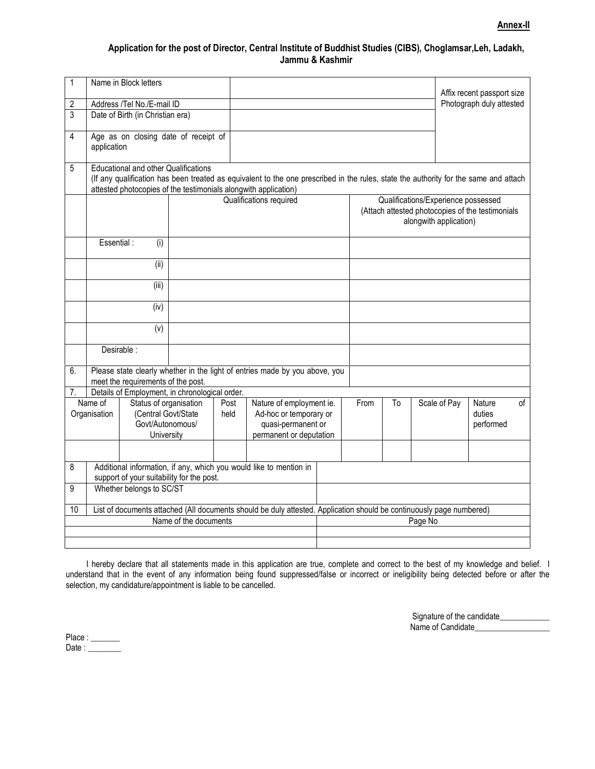## Application for the post of Director, Central Institute of Buddhist Studies (CIBS), Choglamsar,Leh, Ladakh, Jammu & Kashmir

| 1                       |                                                                                                                                                                                                                                                        | Name in Block letters                                                           |  |              |                                                                                                     |  |      |                                                                                                                   |              | Affix recent passport size    |    |  |
|-------------------------|--------------------------------------------------------------------------------------------------------------------------------------------------------------------------------------------------------------------------------------------------------|---------------------------------------------------------------------------------|--|--------------|-----------------------------------------------------------------------------------------------------|--|------|-------------------------------------------------------------------------------------------------------------------|--------------|-------------------------------|----|--|
| 2                       |                                                                                                                                                                                                                                                        | Address /Tel No./E-mail ID                                                      |  |              |                                                                                                     |  |      |                                                                                                                   |              | Photograph duly attested      |    |  |
| 3                       |                                                                                                                                                                                                                                                        | Date of Birth (in Christian era)                                                |  |              |                                                                                                     |  |      |                                                                                                                   |              |                               |    |  |
| 4                       | application                                                                                                                                                                                                                                            | Age as on closing date of receipt of                                            |  |              |                                                                                                     |  |      |                                                                                                                   |              |                               |    |  |
| 5                       | <b>Educational and other Qualifications</b><br>(If any qualification has been treated as equivalent to the one prescribed in the rules, state the authority for the same and attach<br>attested photocopies of the testimonials alongwith application) |                                                                                 |  |              |                                                                                                     |  |      |                                                                                                                   |              |                               |    |  |
|                         |                                                                                                                                                                                                                                                        |                                                                                 |  |              | Qualifications required                                                                             |  |      | Qualifications/Experience possessed<br>(Attach attested photocopies of the testimonials<br>alongwith application) |              |                               |    |  |
|                         | Essential:<br>(i)                                                                                                                                                                                                                                      |                                                                                 |  |              |                                                                                                     |  |      |                                                                                                                   |              |                               |    |  |
|                         |                                                                                                                                                                                                                                                        | (ii)                                                                            |  |              |                                                                                                     |  |      |                                                                                                                   |              |                               |    |  |
|                         |                                                                                                                                                                                                                                                        | (iii)                                                                           |  |              |                                                                                                     |  |      |                                                                                                                   |              |                               |    |  |
|                         |                                                                                                                                                                                                                                                        | (iv)                                                                            |  |              |                                                                                                     |  |      |                                                                                                                   |              |                               |    |  |
|                         |                                                                                                                                                                                                                                                        | (v)                                                                             |  |              |                                                                                                     |  |      |                                                                                                                   |              |                               |    |  |
|                         |                                                                                                                                                                                                                                                        | Desirable :                                                                     |  |              |                                                                                                     |  |      |                                                                                                                   |              |                               |    |  |
| 6.                      | Please state clearly whether in the light of entries made by you above, you<br>meet the requirements of the post.                                                                                                                                      |                                                                                 |  |              |                                                                                                     |  |      |                                                                                                                   |              |                               |    |  |
| 7.                      |                                                                                                                                                                                                                                                        | Details of Employment, in chronological order.                                  |  |              |                                                                                                     |  |      |                                                                                                                   |              |                               |    |  |
| Name of<br>Organisation |                                                                                                                                                                                                                                                        | Status of organisation<br>(Central Govt/State<br>Govt/Autonomous/<br>University |  | Post<br>held | Nature of employment ie.<br>Ad-hoc or temporary or<br>quasi-permanent or<br>permanent or deputation |  | From | To                                                                                                                | Scale of Pay | Nature<br>duties<br>performed | of |  |
|                         |                                                                                                                                                                                                                                                        |                                                                                 |  |              |                                                                                                     |  |      |                                                                                                                   |              |                               |    |  |
| 8                       | Additional information, if any, which you would like to mention in<br>support of your suitability for the post.                                                                                                                                        |                                                                                 |  |              |                                                                                                     |  |      |                                                                                                                   |              |                               |    |  |
| 9                       | Whether belongs to SC/ST                                                                                                                                                                                                                               |                                                                                 |  |              |                                                                                                     |  |      |                                                                                                                   |              |                               |    |  |
| 10                      | List of documents attached (All documents should be duly attested. Application should be continuously page numbered)                                                                                                                                   |                                                                                 |  |              |                                                                                                     |  |      |                                                                                                                   |              |                               |    |  |
| Name of the documents   |                                                                                                                                                                                                                                                        |                                                                                 |  | Page No      |                                                                                                     |  |      |                                                                                                                   |              |                               |    |  |
|                         |                                                                                                                                                                                                                                                        |                                                                                 |  |              |                                                                                                     |  |      |                                                                                                                   |              |                               |    |  |
|                         |                                                                                                                                                                                                                                                        |                                                                                 |  |              |                                                                                                     |  |      |                                                                                                                   |              |                               |    |  |

I hereby declare that all statements made in this application are true, complete and correct to the best of my knowledge and belief. I understand that in the event of any information being found suppressed/false or incorrect or ineligibility being detected before or after the selection, my candidature/appointment is liable to be cancelled.

| Signature of the candidate |
|----------------------------|
| Name of Candidate          |

Place : \_\_\_\_\_\_\_ Date : \_\_\_\_\_\_\_\_